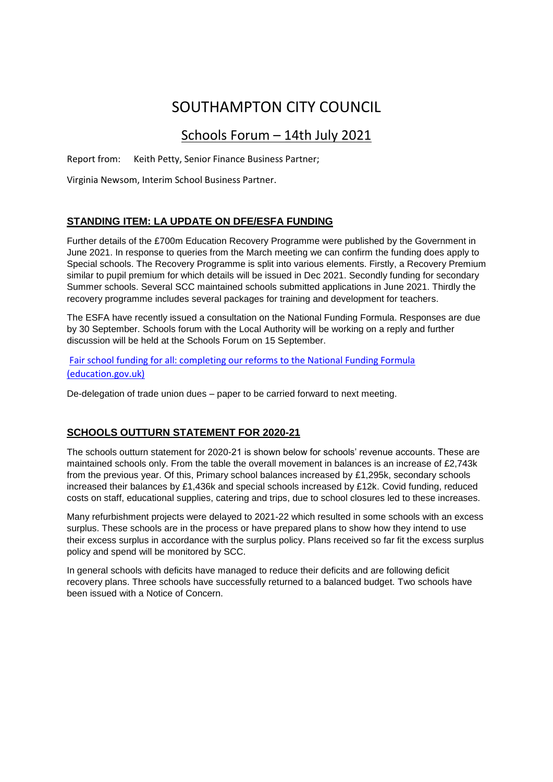# SOUTHAMPTON CITY COUNCIL

# Schools Forum – 14th July 2021

Report from: Keith Petty, Senior Finance Business Partner;

Virginia Newsom, Interim School Business Partner.

## **STANDING ITEM: LA UPDATE ON DFE/ESFA FUNDING**

Further details of the £700m Education Recovery Programme were published by the Government in June 2021. In response to queries from the March meeting we can confirm the funding does apply to Special schools. The Recovery Programme is split into various elements. Firstly, a Recovery Premium similar to pupil premium for which details will be issued in Dec 2021. Secondly funding for secondary Summer schools. Several SCC maintained schools submitted applications in June 2021. Thirdly the recovery programme includes several packages for training and development for teachers.

The ESFA have recently issued a consultation on the National Funding Formula. Responses are due by 30 September. Schools forum with the Local Authority will be working on a reply and further discussion will be held at the Schools Forum on 15 September.

[Fair school funding for all: completing our reforms to the National Funding Formula](https://consult.education.gov.uk/funding-policy-unit/completing-our-reforms-to-the-nff/supporting_documents/Fair%20Funding%20For%20All%20Consultation.pdf)  [\(education.gov.uk\)](https://consult.education.gov.uk/funding-policy-unit/completing-our-reforms-to-the-nff/supporting_documents/Fair%20Funding%20For%20All%20Consultation.pdf)

De-delegation of trade union dues – paper to be carried forward to next meeting.

## **SCHOOLS OUTTURN STATEMENT FOR 2020-21**

The schools outturn statement for 2020-21 is shown below for schools' revenue accounts. These are maintained schools only. From the table the overall movement in balances is an increase of £2,743k from the previous year. Of this, Primary school balances increased by £1,295k, secondary schools increased their balances by £1,436k and special schools increased by £12k. Covid funding, reduced costs on staff, educational supplies, catering and trips, due to school closures led to these increases.

Many refurbishment projects were delayed to 2021-22 which resulted in some schools with an excess surplus. These schools are in the process or have prepared plans to show how they intend to use their excess surplus in accordance with the surplus policy. Plans received so far fit the excess surplus policy and spend will be monitored by SCC.

In general schools with deficits have managed to reduce their deficits and are following deficit recovery plans. Three schools have successfully returned to a balanced budget. Two schools have been issued with a Notice of Concern.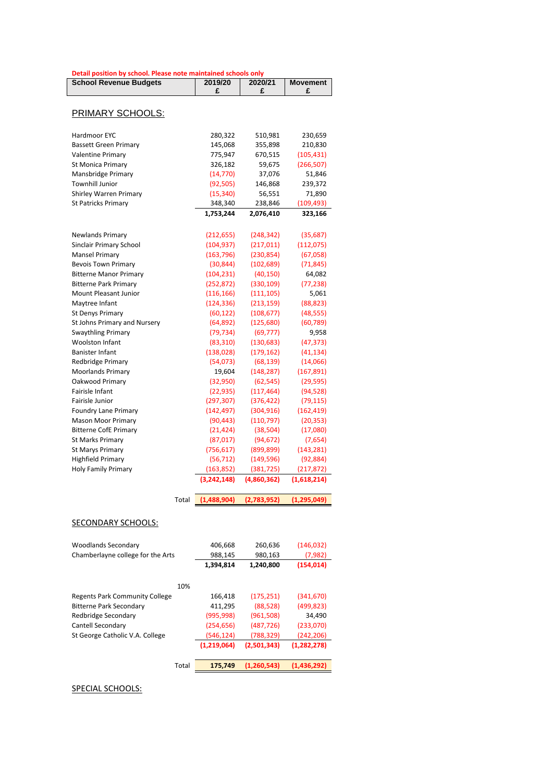| Detail position by school. Please note maintained schools only |  |
|----------------------------------------------------------------|--|
|----------------------------------------------------------------|--|

| <b>School Revenue Budgets</b> | 2019/20<br>£ | 2020/21<br>£ |               |
|-------------------------------|--------------|--------------|---------------|
|                               |              |              |               |
| PRIMARY SCHOOLS:              |              |              |               |
| Hardmoor EYC                  | 280,322      | 510,981      | 230,659       |
| <b>Bassett Green Primary</b>  | 145,068      | 355,898      | 210,830       |
| <b>Valentine Primary</b>      | 775,947      | 670,515      | (105, 431)    |
| <b>St Monica Primary</b>      | 326,182      | 59,675       | (266, 507)    |
| Mansbridge Primary            | (14, 770)    | 37,076       | 51,846        |
| <b>Townhill Junior</b>        | (92, 505)    | 146,868      | 239,372       |
| Shirley Warren Primary        | (15, 340)    | 56,551       | 71,890        |
| <b>St Patricks Primary</b>    | 348,340      | 238,846      | (109, 493)    |
|                               | 1,753,244    | 2,076,410    | 323,166       |
| Newlands Primary              | (212, 655)   | (248, 342)   | (35, 687)     |
| Sinclair Primary School       | (104, 937)   | (217, 011)   | (112,075)     |
| <b>Mansel Primary</b>         | (163, 796)   | (230, 854)   | (67,058)      |
| <b>Bevois Town Primary</b>    | (30, 844)    | (102, 689)   | (71, 845)     |
| <b>Bitterne Manor Primary</b> | (104, 231)   | (40, 150)    | 64,082        |
| <b>Bitterne Park Primary</b>  | (252, 872)   | (330, 109)   | (77, 238)     |
| Mount Pleasant Junior         | (116, 166)   | (111, 105)   | 5,061         |
| Maytree Infant                | (124, 336)   | (213, 159)   | (88, 823)     |
| <b>St Denys Primary</b>       | (60, 122)    | (108, 677)   | (48, 555)     |
| St Johns Primary and Nursery  | (64, 892)    | (125,680)    | (60, 789)     |
| <b>Swaythling Primary</b>     | (79, 734)    | (69, 777)    | 9,958         |
| <b>Woolston Infant</b>        | (83, 310)    | (130, 683)   |               |
| <b>Banister Infant</b>        | (138, 028)   | (179, 162)   |               |
| Redbridge Primary             | (54,073)     | (68, 139)    | (14,066)      |
| <b>Moorlands Primary</b>      | 19,604       | (148, 287)   |               |
| Oakwood Primary               | (32,950)     | (62, 545)    | (29, 595)     |
| Fairisle Infant               | (22, 935)    | (117, 464)   | (94, 528)     |
| Fairisle Junior               | (297, 307)   | (376, 422)   | (79, 115)     |
| <b>Foundry Lane Primary</b>   | (142, 497)   | (304, 916)   | (162, 419)    |
| <b>Mason Moor Primary</b>     | (90, 443)    | (110, 797)   | (20, 353)     |
| <b>Bitterne CofE Primary</b>  | (21, 424)    | (38, 504)    | (17,080)      |
| <b>St Marks Primary</b>       | (87, 017)    | (94, 672)    | (7,654)       |
| <b>St Marys Primary</b>       | (756, 617)   | (899, 899)   | (143, 281)    |
| <b>Highfield Primary</b>      | (56, 712)    | (149, 596)   | (92, 884)     |
| <b>Holy Family Primary</b>    | (163, 852)   | (381, 725)   | (217, 872)    |
|                               | (3,242,148)  | (4,860,362)  | (1,618,214)   |
| Total                         | (1,488,904)  | (2,783,952)  | (1, 295, 049) |
|                               |              |              |               |

#### SECONDARY SCHOOLS:

| <b>Woodlands Secondary</b>        | 406,668     | 260,636     | (146, 032)    |
|-----------------------------------|-------------|-------------|---------------|
| Chamberlayne college for the Arts | 988,145     | 980,163     | (7,982)       |
|                                   | 1,394,814   | 1,240,800   | (154, 014)    |
| 10%                               |             |             |               |
|                                   |             |             |               |
| Regents Park Community College    | 166,418     | (175, 251)  | (341, 670)    |
| <b>Bitterne Park Secondary</b>    | 411,295     | (88, 528)   | (499, 823)    |
| Redbridge Secondary               | (995, 998)  | (961, 508)  | 34,490        |
| Cantell Secondary                 | (254, 656)  | (487, 726)  | (233,070)     |
| St George Catholic V.A. College   | (546, 124)  | (788, 329)  | (242, 206)    |
|                                   | (1,219,064) | (2,501,343) | (1, 282, 278) |
| Total                             | 175.749     | (1,260,543) | (1,436,292)   |

#### SPECIAL SCHOOLS: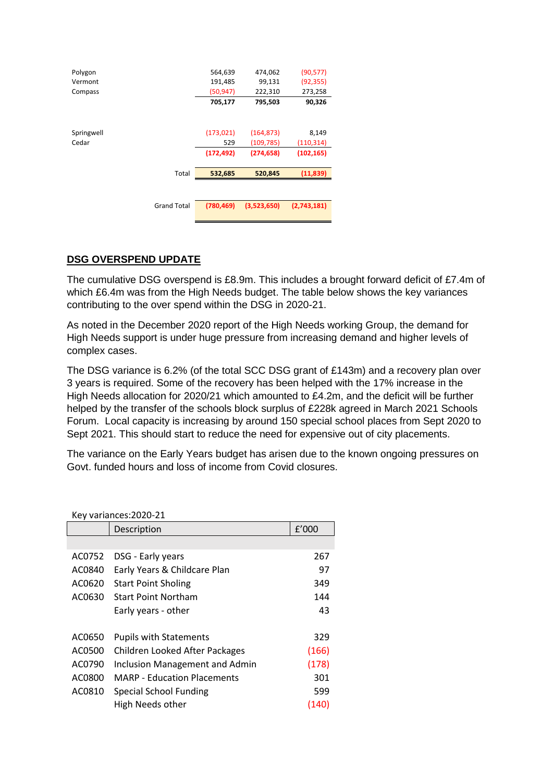| Polygon<br>Vermont |                    | 564,639<br>191,485 | 474,062<br>99,131 | (90, 577)<br>(92, 355) |
|--------------------|--------------------|--------------------|-------------------|------------------------|
| Compass            |                    | (50, 947)          | 222,310           | 273,258                |
|                    |                    | 705,177            | 795,503           | 90,326                 |
|                    |                    |                    |                   |                        |
| Springwell         |                    | (173, 021)         | (164, 873)        | 8,149                  |
| Cedar              |                    | 529                | (109, 785)        | (110, 314)             |
|                    |                    | (172, 492)         | (274, 658)        | (102, 165)             |
|                    | Total              | 532,685            | 520,845           | (11, 839)              |
|                    |                    |                    |                   |                        |
|                    | <b>Grand Total</b> | (780, 469)         | (3,523,650)       | (2,743,181)            |
|                    |                    |                    |                   |                        |

#### **DSG OVERSPEND UPDATE**

The cumulative DSG overspend is £8.9m. This includes a brought forward deficit of £7.4m of which £6.4m was from the High Needs budget. The table below shows the key variances contributing to the over spend within the DSG in 2020-21.

As noted in the December 2020 report of the High Needs working Group, the demand for High Needs support is under huge pressure from increasing demand and higher levels of complex cases.

The DSG variance is 6.2% (of the total SCC DSG grant of £143m) and a recovery plan over 3 years is required. Some of the recovery has been helped with the 17% increase in the High Needs allocation for 2020/21 which amounted to £4.2m, and the deficit will be further helped by the transfer of the schools block surplus of £228k agreed in March 2021 Schools Forum. Local capacity is increasing by around 150 special school places from Sept 2020 to Sept 2021. This should start to reduce the need for expensive out of city placements.

The variance on the Early Years budget has arisen due to the known ongoing pressures on Govt. funded hours and loss of income from Covid closures.

|        | Key variances: 2020-21             |       |
|--------|------------------------------------|-------|
|        | Description                        | f'000 |
|        |                                    |       |
| AC0752 | DSG - Early years                  | 267   |
| AC0840 | Early Years & Childcare Plan       | 97    |
| AC0620 | <b>Start Point Sholing</b>         | 349   |
| AC0630 | <b>Start Point Northam</b>         | 144   |
|        | Early years - other                | 43    |
|        |                                    |       |
| AC0650 | <b>Pupils with Statements</b>      | 329   |
| AC0500 | Children Looked After Packages     | (166) |
| AC0790 | Inclusion Management and Admin     | (178) |
| AC0800 | <b>MARP</b> - Education Placements | 301   |
| AC0810 | Special School Funding             | 599   |
|        | High Needs other                   | (140) |